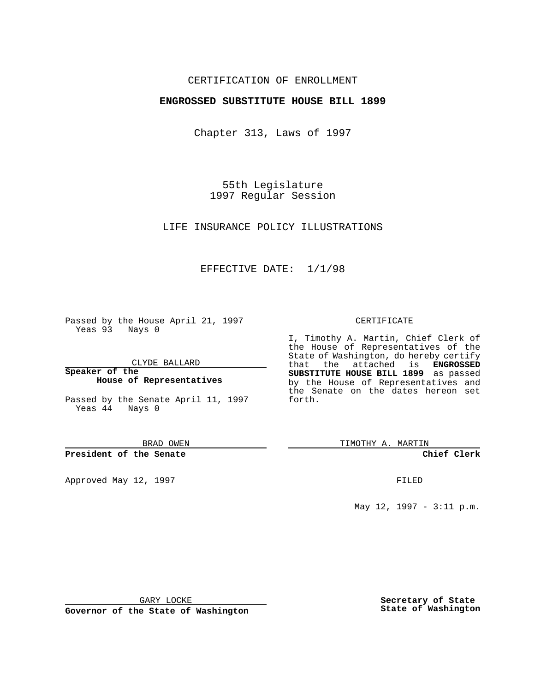## CERTIFICATION OF ENROLLMENT

## **ENGROSSED SUBSTITUTE HOUSE BILL 1899**

Chapter 313, Laws of 1997

55th Legislature 1997 Regular Session

LIFE INSURANCE POLICY ILLUSTRATIONS

## EFFECTIVE DATE: 1/1/98

Passed by the House April 21, 1997 Yeas 93 Nays 0

CLYDE BALLARD

**Speaker of the House of Representatives**

Passed by the Senate April 11, 1997 Yeas 44 Nays 0

BRAD OWEN

### **President of the Senate**

Approved May 12, 1997 **FILED** 

#### CERTIFICATE

I, Timothy A. Martin, Chief Clerk of the House of Representatives of the State of Washington, do hereby certify that the attached is **ENGROSSED SUBSTITUTE HOUSE BILL 1899** as passed by the House of Representatives and the Senate on the dates hereon set forth.

TIMOTHY A. MARTIN

#### **Chief Clerk**

May 12, 1997 - 3:11 p.m.

GARY LOCKE

**Governor of the State of Washington**

**Secretary of State State of Washington**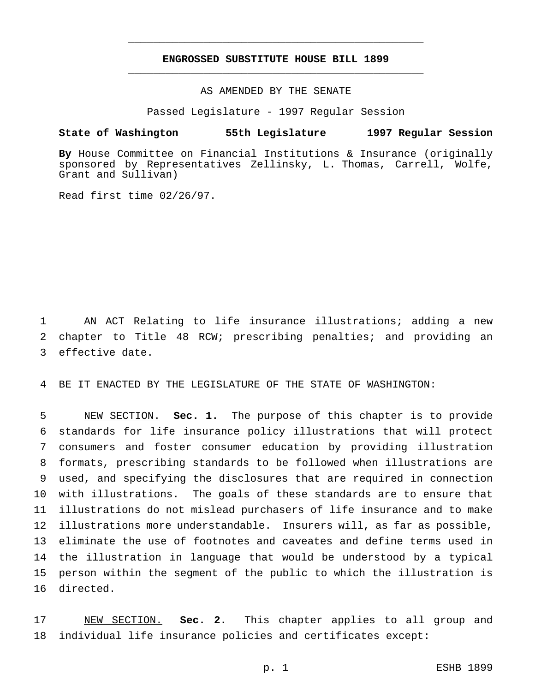# **ENGROSSED SUBSTITUTE HOUSE BILL 1899** \_\_\_\_\_\_\_\_\_\_\_\_\_\_\_\_\_\_\_\_\_\_\_\_\_\_\_\_\_\_\_\_\_\_\_\_\_\_\_\_\_\_\_\_\_\_\_

\_\_\_\_\_\_\_\_\_\_\_\_\_\_\_\_\_\_\_\_\_\_\_\_\_\_\_\_\_\_\_\_\_\_\_\_\_\_\_\_\_\_\_\_\_\_\_

AS AMENDED BY THE SENATE

Passed Legislature - 1997 Regular Session

# **State of Washington 55th Legislature 1997 Regular Session**

**By** House Committee on Financial Institutions & Insurance (originally sponsored by Representatives Zellinsky, L. Thomas, Carrell, Wolfe, Grant and Sullivan)

Read first time 02/26/97.

 AN ACT Relating to life insurance illustrations; adding a new chapter to Title 48 RCW; prescribing penalties; and providing an effective date.

BE IT ENACTED BY THE LEGISLATURE OF THE STATE OF WASHINGTON:

 NEW SECTION. **Sec. 1.** The purpose of this chapter is to provide standards for life insurance policy illustrations that will protect consumers and foster consumer education by providing illustration formats, prescribing standards to be followed when illustrations are used, and specifying the disclosures that are required in connection with illustrations. The goals of these standards are to ensure that illustrations do not mislead purchasers of life insurance and to make illustrations more understandable. Insurers will, as far as possible, eliminate the use of footnotes and caveates and define terms used in the illustration in language that would be understood by a typical person within the segment of the public to which the illustration is directed.

 NEW SECTION. **Sec. 2.** This chapter applies to all group and individual life insurance policies and certificates except: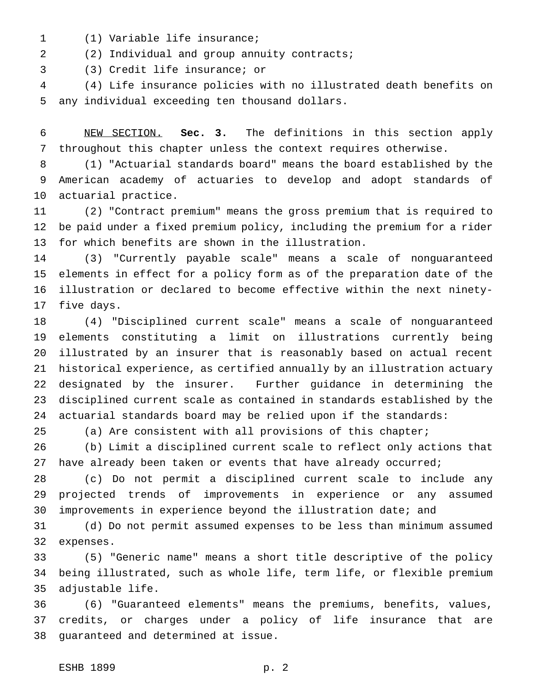- (1) Variable life insurance;
- (2) Individual and group annuity contracts;
- (3) Credit life insurance; or

 (4) Life insurance policies with no illustrated death benefits on any individual exceeding ten thousand dollars.

 NEW SECTION. **Sec. 3.** The definitions in this section apply throughout this chapter unless the context requires otherwise.

 (1) "Actuarial standards board" means the board established by the American academy of actuaries to develop and adopt standards of actuarial practice.

 (2) "Contract premium" means the gross premium that is required to be paid under a fixed premium policy, including the premium for a rider for which benefits are shown in the illustration.

 (3) "Currently payable scale" means a scale of nonguaranteed elements in effect for a policy form as of the preparation date of the illustration or declared to become effective within the next ninety-five days.

 (4) "Disciplined current scale" means a scale of nonguaranteed elements constituting a limit on illustrations currently being illustrated by an insurer that is reasonably based on actual recent historical experience, as certified annually by an illustration actuary designated by the insurer. Further guidance in determining the disciplined current scale as contained in standards established by the actuarial standards board may be relied upon if the standards:

(a) Are consistent with all provisions of this chapter;

 (b) Limit a disciplined current scale to reflect only actions that 27 have already been taken or events that have already occurred;

 (c) Do not permit a disciplined current scale to include any projected trends of improvements in experience or any assumed 30 improvements in experience beyond the illustration date; and

 (d) Do not permit assumed expenses to be less than minimum assumed expenses.

 (5) "Generic name" means a short title descriptive of the policy being illustrated, such as whole life, term life, or flexible premium adjustable life.

 (6) "Guaranteed elements" means the premiums, benefits, values, credits, or charges under a policy of life insurance that are guaranteed and determined at issue.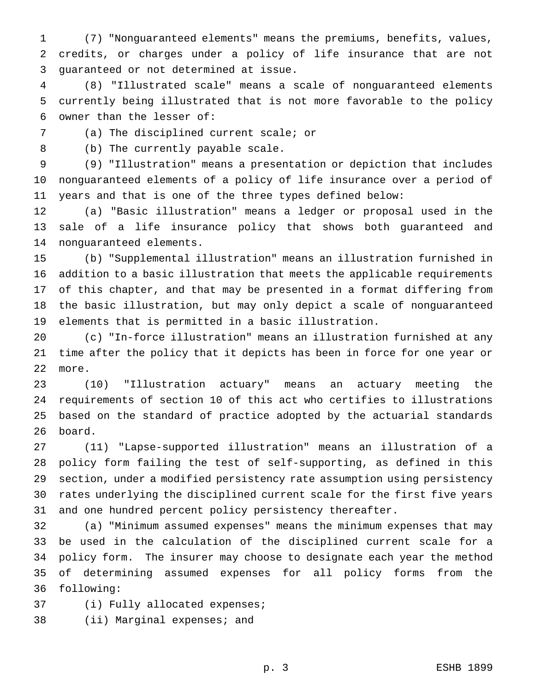(7) "Nonguaranteed elements" means the premiums, benefits, values, credits, or charges under a policy of life insurance that are not guaranteed or not determined at issue.

 (8) "Illustrated scale" means a scale of nonguaranteed elements currently being illustrated that is not more favorable to the policy owner than the lesser of:

(a) The disciplined current scale; or

(b) The currently payable scale.

 (9) "Illustration" means a presentation or depiction that includes nonguaranteed elements of a policy of life insurance over a period of years and that is one of the three types defined below:

 (a) "Basic illustration" means a ledger or proposal used in the sale of a life insurance policy that shows both guaranteed and nonguaranteed elements.

 (b) "Supplemental illustration" means an illustration furnished in addition to a basic illustration that meets the applicable requirements of this chapter, and that may be presented in a format differing from the basic illustration, but may only depict a scale of nonguaranteed elements that is permitted in a basic illustration.

 (c) "In-force illustration" means an illustration furnished at any time after the policy that it depicts has been in force for one year or more.

 (10) "Illustration actuary" means an actuary meeting the requirements of section 10 of this act who certifies to illustrations based on the standard of practice adopted by the actuarial standards board.

 (11) "Lapse-supported illustration" means an illustration of a policy form failing the test of self-supporting, as defined in this section, under a modified persistency rate assumption using persistency rates underlying the disciplined current scale for the first five years and one hundred percent policy persistency thereafter.

 (a) "Minimum assumed expenses" means the minimum expenses that may be used in the calculation of the disciplined current scale for a policy form. The insurer may choose to designate each year the method of determining assumed expenses for all policy forms from the following:

(i) Fully allocated expenses;

(ii) Marginal expenses; and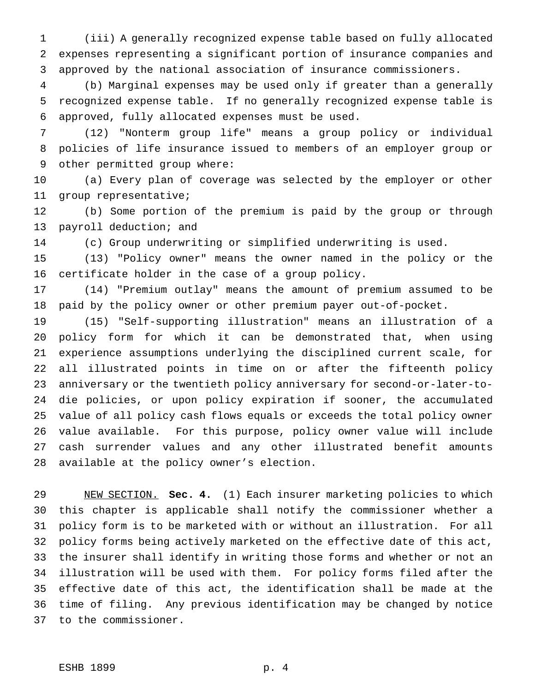(iii) A generally recognized expense table based on fully allocated expenses representing a significant portion of insurance companies and approved by the national association of insurance commissioners.

 (b) Marginal expenses may be used only if greater than a generally recognized expense table. If no generally recognized expense table is approved, fully allocated expenses must be used.

 (12) "Nonterm group life" means a group policy or individual policies of life insurance issued to members of an employer group or other permitted group where:

 (a) Every plan of coverage was selected by the employer or other group representative;

 (b) Some portion of the premium is paid by the group or through payroll deduction; and

(c) Group underwriting or simplified underwriting is used.

 (13) "Policy owner" means the owner named in the policy or the certificate holder in the case of a group policy.

 (14) "Premium outlay" means the amount of premium assumed to be paid by the policy owner or other premium payer out-of-pocket.

 (15) "Self-supporting illustration" means an illustration of a policy form for which it can be demonstrated that, when using experience assumptions underlying the disciplined current scale, for all illustrated points in time on or after the fifteenth policy anniversary or the twentieth policy anniversary for second-or-later-to- die policies, or upon policy expiration if sooner, the accumulated value of all policy cash flows equals or exceeds the total policy owner value available. For this purpose, policy owner value will include cash surrender values and any other illustrated benefit amounts available at the policy owner's election.

 NEW SECTION. **Sec. 4.** (1) Each insurer marketing policies to which this chapter is applicable shall notify the commissioner whether a policy form is to be marketed with or without an illustration. For all policy forms being actively marketed on the effective date of this act, the insurer shall identify in writing those forms and whether or not an illustration will be used with them. For policy forms filed after the effective date of this act, the identification shall be made at the time of filing. Any previous identification may be changed by notice to the commissioner.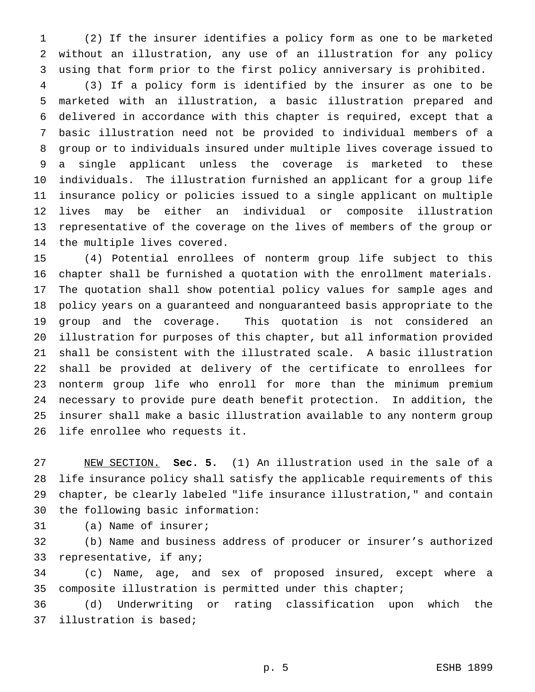(2) If the insurer identifies a policy form as one to be marketed without an illustration, any use of an illustration for any policy using that form prior to the first policy anniversary is prohibited.

 (3) If a policy form is identified by the insurer as one to be marketed with an illustration, a basic illustration prepared and delivered in accordance with this chapter is required, except that a basic illustration need not be provided to individual members of a group or to individuals insured under multiple lives coverage issued to a single applicant unless the coverage is marketed to these individuals. The illustration furnished an applicant for a group life insurance policy or policies issued to a single applicant on multiple lives may be either an individual or composite illustration representative of the coverage on the lives of members of the group or the multiple lives covered.

 (4) Potential enrollees of nonterm group life subject to this chapter shall be furnished a quotation with the enrollment materials. The quotation shall show potential policy values for sample ages and policy years on a guaranteed and nonguaranteed basis appropriate to the group and the coverage. This quotation is not considered an illustration for purposes of this chapter, but all information provided shall be consistent with the illustrated scale. A basic illustration shall be provided at delivery of the certificate to enrollees for nonterm group life who enroll for more than the minimum premium necessary to provide pure death benefit protection. In addition, the insurer shall make a basic illustration available to any nonterm group life enrollee who requests it.

 NEW SECTION. **Sec. 5.** (1) An illustration used in the sale of a life insurance policy shall satisfy the applicable requirements of this chapter, be clearly labeled "life insurance illustration," and contain the following basic information:

(a) Name of insurer;

 (b) Name and business address of producer or insurer's authorized representative, if any;

 (c) Name, age, and sex of proposed insured, except where a composite illustration is permitted under this chapter;

 (d) Underwriting or rating classification upon which the illustration is based;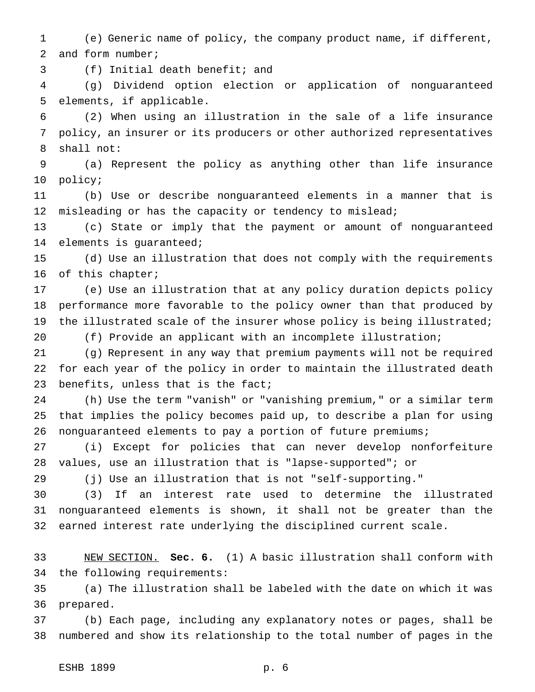(e) Generic name of policy, the company product name, if different, and form number;

(f) Initial death benefit; and

 (g) Dividend option election or application of nonguaranteed elements, if applicable.

 (2) When using an illustration in the sale of a life insurance policy, an insurer or its producers or other authorized representatives shall not:

 (a) Represent the policy as anything other than life insurance policy;

 (b) Use or describe nonguaranteed elements in a manner that is 12 misleading or has the capacity or tendency to mislead;

 (c) State or imply that the payment or amount of nonguaranteed elements is guaranteed;

 (d) Use an illustration that does not comply with the requirements of this chapter;

 (e) Use an illustration that at any policy duration depicts policy performance more favorable to the policy owner than that produced by the illustrated scale of the insurer whose policy is being illustrated;

(f) Provide an applicant with an incomplete illustration;

 (g) Represent in any way that premium payments will not be required for each year of the policy in order to maintain the illustrated death benefits, unless that is the fact;

 (h) Use the term "vanish" or "vanishing premium," or a similar term that implies the policy becomes paid up, to describe a plan for using nonguaranteed elements to pay a portion of future premiums;

 (i) Except for policies that can never develop nonforfeiture values, use an illustration that is "lapse-supported"; or

(j) Use an illustration that is not "self-supporting."

 (3) If an interest rate used to determine the illustrated nonguaranteed elements is shown, it shall not be greater than the earned interest rate underlying the disciplined current scale.

 NEW SECTION. **Sec. 6.** (1) A basic illustration shall conform with the following requirements:

 (a) The illustration shall be labeled with the date on which it was prepared.

 (b) Each page, including any explanatory notes or pages, shall be numbered and show its relationship to the total number of pages in the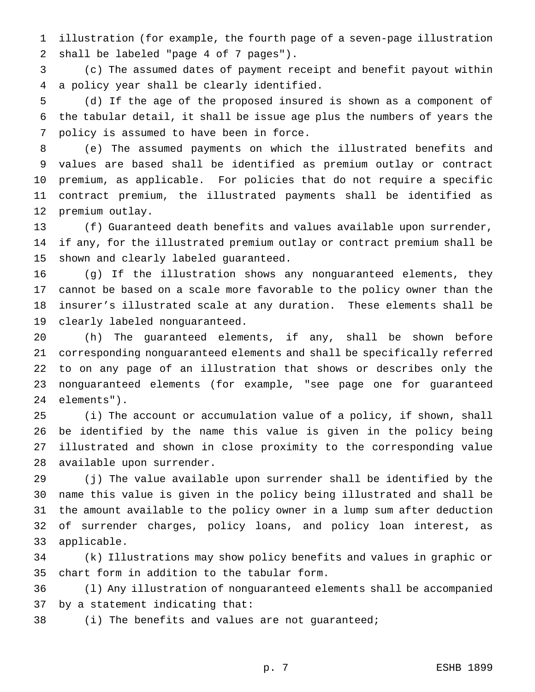illustration (for example, the fourth page of a seven-page illustration shall be labeled "page 4 of 7 pages").

 (c) The assumed dates of payment receipt and benefit payout within a policy year shall be clearly identified.

 (d) If the age of the proposed insured is shown as a component of the tabular detail, it shall be issue age plus the numbers of years the policy is assumed to have been in force.

 (e) The assumed payments on which the illustrated benefits and values are based shall be identified as premium outlay or contract premium, as applicable. For policies that do not require a specific contract premium, the illustrated payments shall be identified as premium outlay.

 (f) Guaranteed death benefits and values available upon surrender, if any, for the illustrated premium outlay or contract premium shall be shown and clearly labeled guaranteed.

 (g) If the illustration shows any nonguaranteed elements, they cannot be based on a scale more favorable to the policy owner than the insurer's illustrated scale at any duration. These elements shall be clearly labeled nonguaranteed.

 (h) The guaranteed elements, if any, shall be shown before corresponding nonguaranteed elements and shall be specifically referred to on any page of an illustration that shows or describes only the nonguaranteed elements (for example, "see page one for guaranteed elements").

 (i) The account or accumulation value of a policy, if shown, shall be identified by the name this value is given in the policy being illustrated and shown in close proximity to the corresponding value available upon surrender.

 (j) The value available upon surrender shall be identified by the name this value is given in the policy being illustrated and shall be the amount available to the policy owner in a lump sum after deduction of surrender charges, policy loans, and policy loan interest, as applicable.

 (k) Illustrations may show policy benefits and values in graphic or chart form in addition to the tabular form.

 (l) Any illustration of nonguaranteed elements shall be accompanied by a statement indicating that:

(i) The benefits and values are not guaranteed;

p. 7 ESHB 1899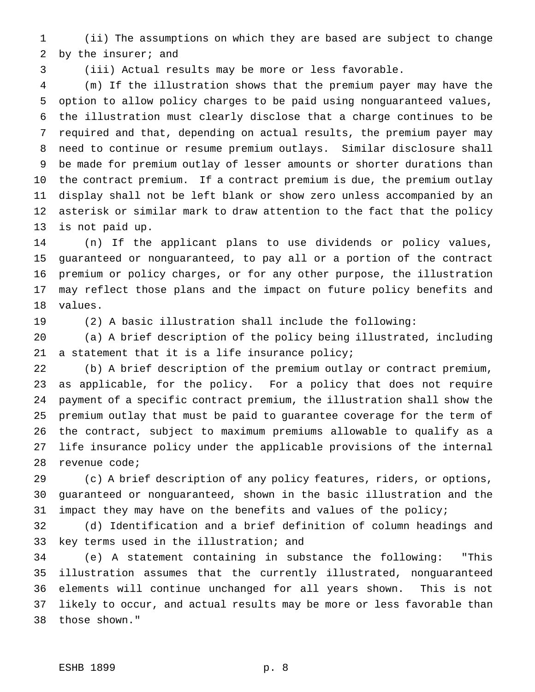(ii) The assumptions on which they are based are subject to change by the insurer; and

(iii) Actual results may be more or less favorable.

 (m) If the illustration shows that the premium payer may have the option to allow policy charges to be paid using nonguaranteed values, the illustration must clearly disclose that a charge continues to be required and that, depending on actual results, the premium payer may need to continue or resume premium outlays. Similar disclosure shall be made for premium outlay of lesser amounts or shorter durations than the contract premium. If a contract premium is due, the premium outlay display shall not be left blank or show zero unless accompanied by an asterisk or similar mark to draw attention to the fact that the policy is not paid up.

 (n) If the applicant plans to use dividends or policy values, guaranteed or nonguaranteed, to pay all or a portion of the contract premium or policy charges, or for any other purpose, the illustration may reflect those plans and the impact on future policy benefits and values.

(2) A basic illustration shall include the following:

 (a) A brief description of the policy being illustrated, including 21 a statement that it is a life insurance policy;

 (b) A brief description of the premium outlay or contract premium, as applicable, for the policy. For a policy that does not require payment of a specific contract premium, the illustration shall show the premium outlay that must be paid to guarantee coverage for the term of the contract, subject to maximum premiums allowable to qualify as a life insurance policy under the applicable provisions of the internal revenue code;

 (c) A brief description of any policy features, riders, or options, guaranteed or nonguaranteed, shown in the basic illustration and the impact they may have on the benefits and values of the policy;

 (d) Identification and a brief definition of column headings and key terms used in the illustration; and

 (e) A statement containing in substance the following: "This illustration assumes that the currently illustrated, nonguaranteed elements will continue unchanged for all years shown. This is not likely to occur, and actual results may be more or less favorable than those shown."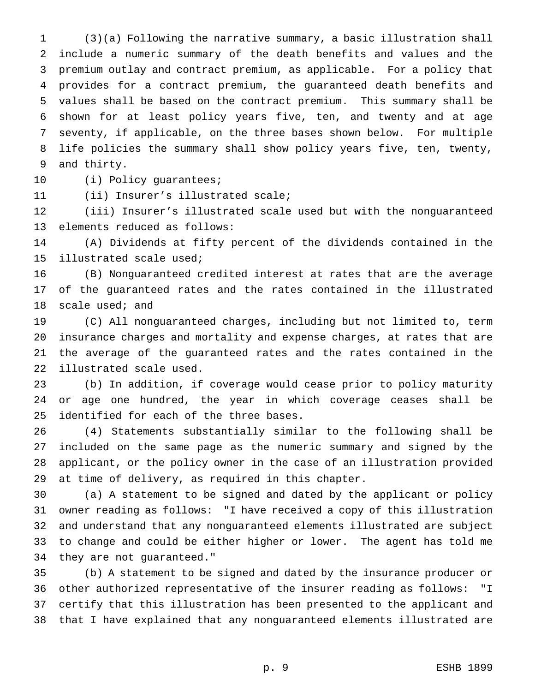(3)(a) Following the narrative summary, a basic illustration shall include a numeric summary of the death benefits and values and the premium outlay and contract premium, as applicable. For a policy that provides for a contract premium, the guaranteed death benefits and values shall be based on the contract premium. This summary shall be shown for at least policy years five, ten, and twenty and at age seventy, if applicable, on the three bases shown below. For multiple life policies the summary shall show policy years five, ten, twenty, and thirty.

10 (i) Policy guarantees;

(ii) Insurer's illustrated scale;

 (iii) Insurer's illustrated scale used but with the nonguaranteed elements reduced as follows:

 (A) Dividends at fifty percent of the dividends contained in the illustrated scale used;

 (B) Nonguaranteed credited interest at rates that are the average of the guaranteed rates and the rates contained in the illustrated 18 scale used; and

 (C) All nonguaranteed charges, including but not limited to, term insurance charges and mortality and expense charges, at rates that are the average of the guaranteed rates and the rates contained in the illustrated scale used.

 (b) In addition, if coverage would cease prior to policy maturity or age one hundred, the year in which coverage ceases shall be identified for each of the three bases.

 (4) Statements substantially similar to the following shall be included on the same page as the numeric summary and signed by the applicant, or the policy owner in the case of an illustration provided at time of delivery, as required in this chapter.

 (a) A statement to be signed and dated by the applicant or policy owner reading as follows: "I have received a copy of this illustration and understand that any nonguaranteed elements illustrated are subject to change and could be either higher or lower. The agent has told me they are not guaranteed."

 (b) A statement to be signed and dated by the insurance producer or other authorized representative of the insurer reading as follows: "I certify that this illustration has been presented to the applicant and that I have explained that any nonguaranteed elements illustrated are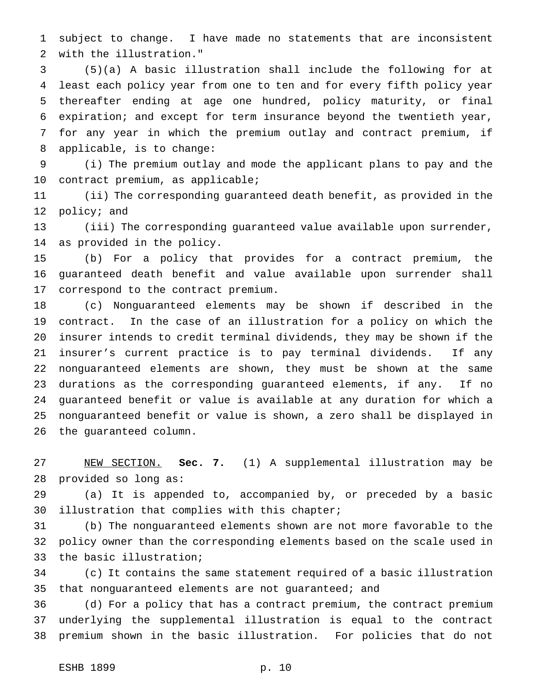subject to change. I have made no statements that are inconsistent with the illustration."

 (5)(a) A basic illustration shall include the following for at least each policy year from one to ten and for every fifth policy year thereafter ending at age one hundred, policy maturity, or final expiration; and except for term insurance beyond the twentieth year, for any year in which the premium outlay and contract premium, if applicable, is to change:

 (i) The premium outlay and mode the applicant plans to pay and the contract premium, as applicable;

 (ii) The corresponding guaranteed death benefit, as provided in the policy; and

 (iii) The corresponding guaranteed value available upon surrender, as provided in the policy.

 (b) For a policy that provides for a contract premium, the guaranteed death benefit and value available upon surrender shall correspond to the contract premium.

 (c) Nonguaranteed elements may be shown if described in the contract. In the case of an illustration for a policy on which the insurer intends to credit terminal dividends, they may be shown if the insurer's current practice is to pay terminal dividends. If any nonguaranteed elements are shown, they must be shown at the same durations as the corresponding guaranteed elements, if any. If no guaranteed benefit or value is available at any duration for which a nonguaranteed benefit or value is shown, a zero shall be displayed in the guaranteed column.

 NEW SECTION. **Sec. 7.** (1) A supplemental illustration may be provided so long as:

 (a) It is appended to, accompanied by, or preceded by a basic illustration that complies with this chapter;

 (b) The nonguaranteed elements shown are not more favorable to the policy owner than the corresponding elements based on the scale used in the basic illustration;

 (c) It contains the same statement required of a basic illustration that nonguaranteed elements are not guaranteed; and

 (d) For a policy that has a contract premium, the contract premium underlying the supplemental illustration is equal to the contract premium shown in the basic illustration. For policies that do not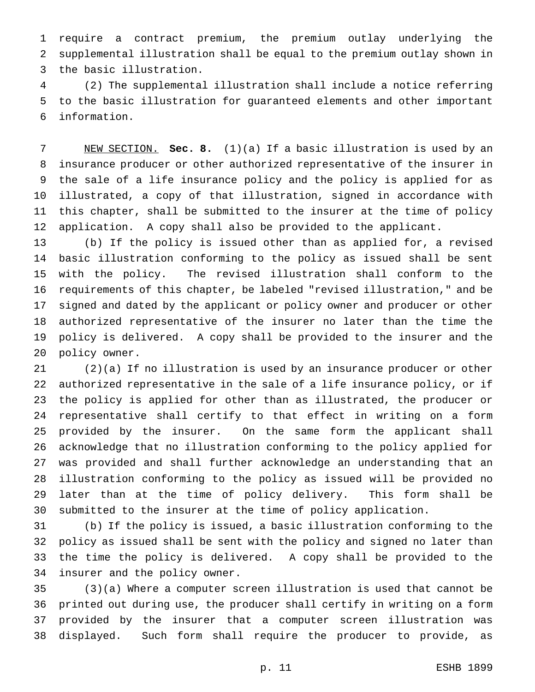require a contract premium, the premium outlay underlying the supplemental illustration shall be equal to the premium outlay shown in the basic illustration.

 (2) The supplemental illustration shall include a notice referring to the basic illustration for guaranteed elements and other important information.

 NEW SECTION. **Sec. 8.** (1)(a) If a basic illustration is used by an insurance producer or other authorized representative of the insurer in the sale of a life insurance policy and the policy is applied for as illustrated, a copy of that illustration, signed in accordance with this chapter, shall be submitted to the insurer at the time of policy application. A copy shall also be provided to the applicant.

 (b) If the policy is issued other than as applied for, a revised basic illustration conforming to the policy as issued shall be sent with the policy. The revised illustration shall conform to the requirements of this chapter, be labeled "revised illustration," and be signed and dated by the applicant or policy owner and producer or other authorized representative of the insurer no later than the time the policy is delivered. A copy shall be provided to the insurer and the policy owner.

 (2)(a) If no illustration is used by an insurance producer or other authorized representative in the sale of a life insurance policy, or if the policy is applied for other than as illustrated, the producer or representative shall certify to that effect in writing on a form provided by the insurer. On the same form the applicant shall acknowledge that no illustration conforming to the policy applied for was provided and shall further acknowledge an understanding that an illustration conforming to the policy as issued will be provided no later than at the time of policy delivery. This form shall be submitted to the insurer at the time of policy application.

 (b) If the policy is issued, a basic illustration conforming to the policy as issued shall be sent with the policy and signed no later than the time the policy is delivered. A copy shall be provided to the insurer and the policy owner.

 (3)(a) Where a computer screen illustration is used that cannot be printed out during use, the producer shall certify in writing on a form provided by the insurer that a computer screen illustration was displayed. Such form shall require the producer to provide, as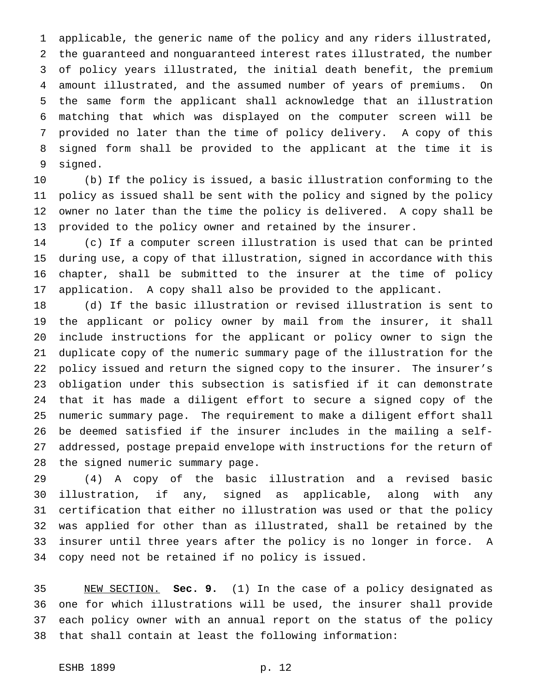applicable, the generic name of the policy and any riders illustrated, the guaranteed and nonguaranteed interest rates illustrated, the number of policy years illustrated, the initial death benefit, the premium amount illustrated, and the assumed number of years of premiums. On the same form the applicant shall acknowledge that an illustration matching that which was displayed on the computer screen will be provided no later than the time of policy delivery. A copy of this signed form shall be provided to the applicant at the time it is signed.

 (b) If the policy is issued, a basic illustration conforming to the policy as issued shall be sent with the policy and signed by the policy owner no later than the time the policy is delivered. A copy shall be provided to the policy owner and retained by the insurer.

 (c) If a computer screen illustration is used that can be printed during use, a copy of that illustration, signed in accordance with this chapter, shall be submitted to the insurer at the time of policy application. A copy shall also be provided to the applicant.

 (d) If the basic illustration or revised illustration is sent to the applicant or policy owner by mail from the insurer, it shall include instructions for the applicant or policy owner to sign the duplicate copy of the numeric summary page of the illustration for the policy issued and return the signed copy to the insurer. The insurer's obligation under this subsection is satisfied if it can demonstrate that it has made a diligent effort to secure a signed copy of the numeric summary page. The requirement to make a diligent effort shall be deemed satisfied if the insurer includes in the mailing a self- addressed, postage prepaid envelope with instructions for the return of the signed numeric summary page.

 (4) A copy of the basic illustration and a revised basic illustration, if any, signed as applicable, along with any certification that either no illustration was used or that the policy was applied for other than as illustrated, shall be retained by the insurer until three years after the policy is no longer in force. A copy need not be retained if no policy is issued.

 NEW SECTION. **Sec. 9.** (1) In the case of a policy designated as one for which illustrations will be used, the insurer shall provide each policy owner with an annual report on the status of the policy that shall contain at least the following information: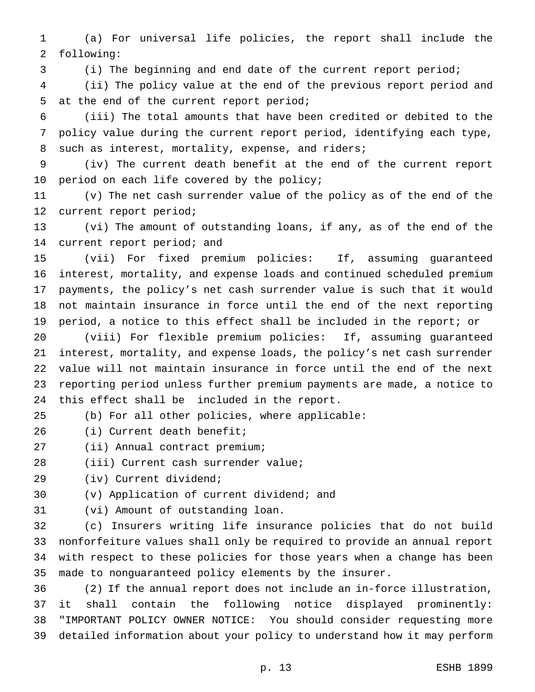(a) For universal life policies, the report shall include the following:

(i) The beginning and end date of the current report period;

 (ii) The policy value at the end of the previous report period and at the end of the current report period;

 (iii) The total amounts that have been credited or debited to the policy value during the current report period, identifying each type, such as interest, mortality, expense, and riders;

 (iv) The current death benefit at the end of the current report period on each life covered by the policy;

 (v) The net cash surrender value of the policy as of the end of the current report period;

 (vi) The amount of outstanding loans, if any, as of the end of the current report period; and

 (vii) For fixed premium policies: If, assuming guaranteed interest, mortality, and expense loads and continued scheduled premium payments, the policy's net cash surrender value is such that it would not maintain insurance in force until the end of the next reporting period, a notice to this effect shall be included in the report; or

 (viii) For flexible premium policies: If, assuming guaranteed interest, mortality, and expense loads, the policy's net cash surrender value will not maintain insurance in force until the end of the next reporting period unless further premium payments are made, a notice to this effect shall be included in the report.

(b) For all other policies, where applicable:

- (i) Current death benefit;
- (ii) Annual contract premium;
- (iii) Current cash surrender value;
- (iv) Current dividend;
- (v) Application of current dividend; and

(vi) Amount of outstanding loan.

 (c) Insurers writing life insurance policies that do not build nonforfeiture values shall only be required to provide an annual report with respect to these policies for those years when a change has been made to nonguaranteed policy elements by the insurer.

 (2) If the annual report does not include an in-force illustration, it shall contain the following notice displayed prominently: "IMPORTANT POLICY OWNER NOTICE: You should consider requesting more detailed information about your policy to understand how it may perform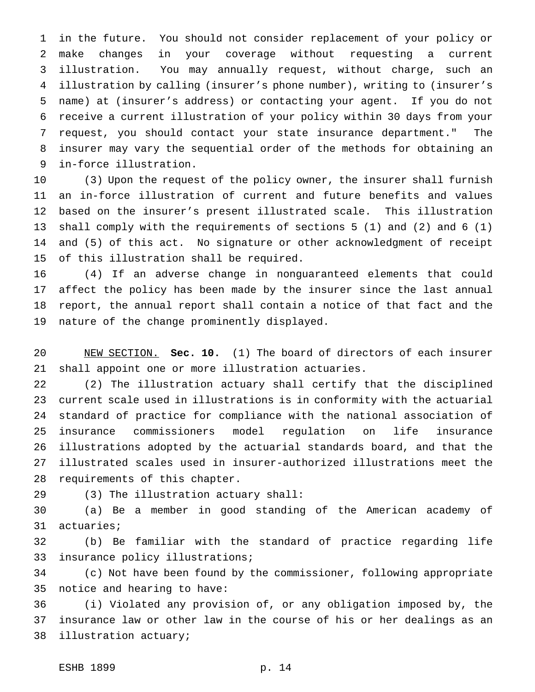in the future. You should not consider replacement of your policy or make changes in your coverage without requesting a current illustration. You may annually request, without charge, such an illustration by calling (insurer's phone number), writing to (insurer's name) at (insurer's address) or contacting your agent. If you do not receive a current illustration of your policy within 30 days from your request, you should contact your state insurance department." The insurer may vary the sequential order of the methods for obtaining an in-force illustration.

 (3) Upon the request of the policy owner, the insurer shall furnish an in-force illustration of current and future benefits and values based on the insurer's present illustrated scale. This illustration shall comply with the requirements of sections 5 (1) and (2) and 6 (1) and (5) of this act. No signature or other acknowledgment of receipt of this illustration shall be required.

 (4) If an adverse change in nonguaranteed elements that could affect the policy has been made by the insurer since the last annual report, the annual report shall contain a notice of that fact and the nature of the change prominently displayed.

 NEW SECTION. **Sec. 10.** (1) The board of directors of each insurer shall appoint one or more illustration actuaries.

 (2) The illustration actuary shall certify that the disciplined current scale used in illustrations is in conformity with the actuarial standard of practice for compliance with the national association of insurance commissioners model regulation on life insurance illustrations adopted by the actuarial standards board, and that the illustrated scales used in insurer-authorized illustrations meet the requirements of this chapter.

(3) The illustration actuary shall:

 (a) Be a member in good standing of the American academy of actuaries;

 (b) Be familiar with the standard of practice regarding life insurance policy illustrations;

 (c) Not have been found by the commissioner, following appropriate notice and hearing to have:

 (i) Violated any provision of, or any obligation imposed by, the insurance law or other law in the course of his or her dealings as an illustration actuary;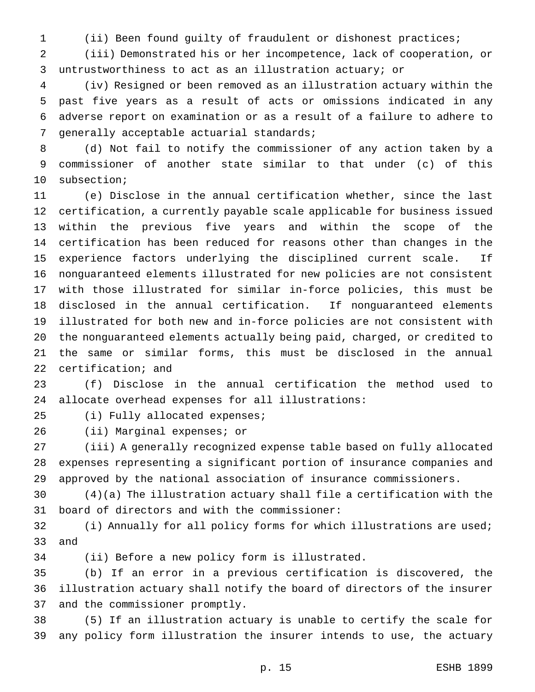(ii) Been found guilty of fraudulent or dishonest practices;

 (iii) Demonstrated his or her incompetence, lack of cooperation, or untrustworthiness to act as an illustration actuary; or

 (iv) Resigned or been removed as an illustration actuary within the past five years as a result of acts or omissions indicated in any adverse report on examination or as a result of a failure to adhere to generally acceptable actuarial standards;

 (d) Not fail to notify the commissioner of any action taken by a commissioner of another state similar to that under (c) of this subsection;

 (e) Disclose in the annual certification whether, since the last certification, a currently payable scale applicable for business issued within the previous five years and within the scope of the certification has been reduced for reasons other than changes in the experience factors underlying the disciplined current scale. If nonguaranteed elements illustrated for new policies are not consistent with those illustrated for similar in-force policies, this must be disclosed in the annual certification. If nonguaranteed elements illustrated for both new and in-force policies are not consistent with the nonguaranteed elements actually being paid, charged, or credited to the same or similar forms, this must be disclosed in the annual certification; and

 (f) Disclose in the annual certification the method used to allocate overhead expenses for all illustrations:

(i) Fully allocated expenses;

(ii) Marginal expenses; or

 (iii) A generally recognized expense table based on fully allocated expenses representing a significant portion of insurance companies and approved by the national association of insurance commissioners.

 (4)(a) The illustration actuary shall file a certification with the board of directors and with the commissioner:

 (i) Annually for all policy forms for which illustrations are used; and

(ii) Before a new policy form is illustrated.

 (b) If an error in a previous certification is discovered, the illustration actuary shall notify the board of directors of the insurer and the commissioner promptly.

 (5) If an illustration actuary is unable to certify the scale for any policy form illustration the insurer intends to use, the actuary